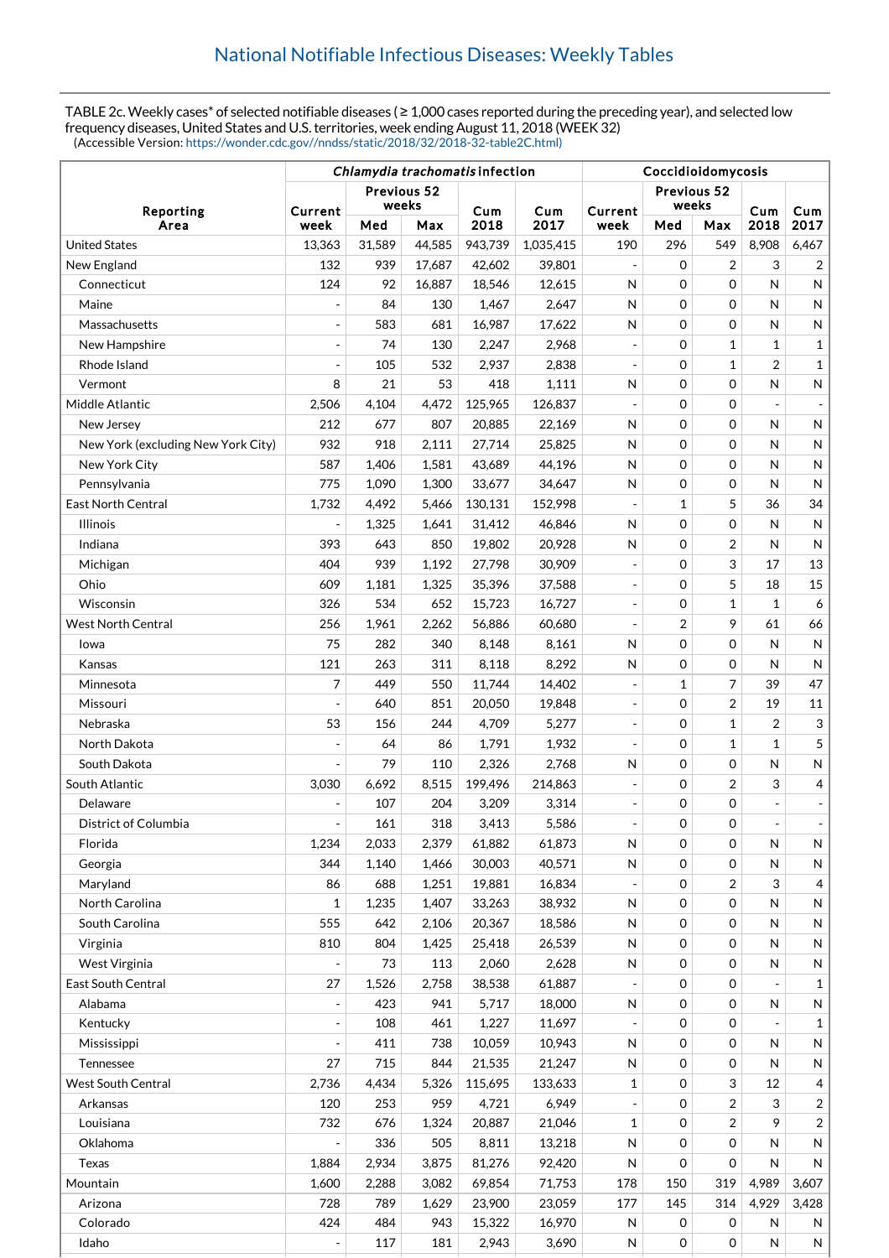TABLE 2c. Weekly cases<sup>\*</sup> of selected notifiable diseases (≥ 1,000 cases reported during the preceding year), and selected low frequency diseases, United States and U.S. territories, week ending August 11, 2018 (WEEK 32) (Accessible Version: [https://wonder.cdc.gov//nndss/static/2018/32/2018-32-table2C.html\)](https://wonder.cdc.gov//nndss/static/2018/32/2018-32-table2C.html)

|                                    | Chlamydia trachomatis infection |                      |        |         |             | Coccidioidomycosis       |                      |                |                          |                              |  |
|------------------------------------|---------------------------------|----------------------|--------|---------|-------------|--------------------------|----------------------|----------------|--------------------------|------------------------------|--|
| Reporting<br>Area                  |                                 | Previous 52<br>weeks |        | Cum     |             | Current                  | Previous 52<br>weeks |                | Cum                      | Cum                          |  |
|                                    | Current<br>week                 | Med                  | Max    | 2018    | Cum<br>2017 | week                     | Med                  | Max            | 2018                     | 2017                         |  |
| <b>United States</b>               | 13,363                          | 31,589               | 44,585 | 943,739 | 1,035,415   | 190                      | 296                  | 549            | 8,908                    | 6,467                        |  |
| New England                        | 132                             | 939                  | 17,687 | 42,602  | 39,801      |                          | 0                    | 2              | 3                        | 2                            |  |
| Connecticut                        | 124                             | 92                   | 16,887 | 18,546  | 12,615      | N                        | $\mathbf 0$          | $\Omega$       | N                        | N                            |  |
| Maine                              |                                 | 84                   | 130    | 1,467   | 2,647       | N                        | $\mathbf 0$          | $\Omega$       | N                        | N                            |  |
| Massachusetts                      | $\frac{1}{2}$                   | 583                  | 681    | 16,987  | 17,622      | N                        | $\mathbf 0$          | $\mathbf 0$    | N                        | N                            |  |
| New Hampshire                      | $\overline{a}$                  | 74                   | 130    | 2,247   | 2,968       |                          | 0                    | 1              | 1                        | 1                            |  |
| Rhode Island                       |                                 | 105                  | 532    | 2,937   | 2,838       |                          | $\mathbf 0$          | $\mathbf 1$    | $\overline{2}$           | $\mathbf{1}$                 |  |
| Vermont                            | 8                               | 21                   | 53     | 418     | 1,111       | N                        | 0                    | $\mathbf 0$    | N                        | N                            |  |
| Middle Atlantic                    | 2,506                           | 4,104                | 4,472  | 125,965 | 126,837     |                          | $\mathbf 0$          | $\mathbf 0$    |                          |                              |  |
| New Jersey                         | 212                             | 677                  | 807    | 20,885  | 22,169      | N                        | 0                    | $\mathbf 0$    | N                        | N                            |  |
| New York (excluding New York City) | 932                             | 918                  | 2,111  | 27,714  | 25,825      | N                        | $\mathbf 0$          | $\Omega$       | N                        | N                            |  |
| New York City                      | 587                             | 1,406                | 1,581  | 43,689  | 44,196      | N                        | $\mathbf 0$          | $\mathbf 0$    | N                        | N                            |  |
| Pennsylvania                       | 775                             | 1,090                | 1,300  | 33,677  | 34,647      | N                        | $\mathbf 0$          | $\mathbf 0$    | N                        | N                            |  |
| <b>East North Central</b>          | 1,732                           | 4,492                | 5,466  | 130,131 | 152,998     |                          | $\mathbf{1}$         | 5              | 36                       | 34                           |  |
| <b>Illinois</b>                    | $\frac{1}{2}$                   | 1,325                | 1,641  | 31,412  | 46,846      | N                        | $\mathbf 0$          | $\mathbf 0$    | N                        | $\mathsf{N}$                 |  |
| Indiana                            | 393                             | 643                  | 850    | 19,802  | 20,928      | N                        | $\mathbf 0$          | $\overline{2}$ | N                        | $\mathsf{N}$                 |  |
| Michigan                           | 404                             | 939                  | 1,192  | 27,798  | 30,909      |                          | $\mathbf 0$          | 3              | 17                       | 13                           |  |
| Ohio                               | 609                             | 1,181                | 1,325  | 35,396  | 37,588      |                          | $\mathbf 0$          | 5              | 18                       | 15                           |  |
| Wisconsin                          | 326                             | 534                  | 652    | 15,723  | 16,727      |                          | 0                    | 1              | 1                        | 6                            |  |
| <b>West North Central</b>          | 256                             | 1,961                | 2,262  | 56,886  | 60,680      |                          | 2                    | 9              | 61                       | 66                           |  |
| Iowa                               | 75                              | 282                  | 340    | 8,148   | 8,161       | N                        | 0                    | $\mathbf 0$    | N                        | $\mathsf{N}$                 |  |
| Kansas                             | 121                             | 263                  | 311    | 8,118   | 8,292       | N                        | $\mathbf 0$          | $\mathbf 0$    | N                        | N                            |  |
| Minnesota                          | 7                               | 449                  | 550    | 11,744  | 14,402      |                          | 1                    | 7              | 39                       | 47                           |  |
| Missouri                           |                                 | 640                  | 851    | 20,050  | 19,848      |                          | $\mathbf 0$          | $\overline{2}$ | 19                       | 11                           |  |
| Nebraska                           | 53                              | 156                  | 244    | 4,709   | 5,277       |                          | 0                    | $\mathbf{1}$   | $\overline{2}$           | 3                            |  |
| North Dakota                       |                                 | 64                   | 86     | 1,791   | 1,932       |                          | $\mathbf 0$          | $\mathbf{1}$   | $\mathbf{1}$             | 5                            |  |
| South Dakota                       |                                 | 79                   | 110    | 2,326   | 2,768       | N                        | $\mathbf 0$          | $\mathbf 0$    | N                        | N                            |  |
| South Atlantic                     | 3,030                           | 6,692                | 8,515  | 199,496 | 214,863     | $\overline{a}$           | 0                    | 2              | 3                        | 4                            |  |
| Delaware                           |                                 | 107                  | 204    | 3,209   | 3,314       | $\overline{\phantom{a}}$ | $\mathbf 0$          | 0              | $\overline{\phantom{a}}$ | $\qquad \qquad \blacksquare$ |  |
| District of Columbia               | $\overline{a}$                  | 161                  | 318    | 3.413   | 5,586       | $\overline{a}$           | 0                    | $\mathbf 0$    | $\overline{\phantom{a}}$ | $\overline{\phantom{a}}$     |  |
| Florida                            | 1,234                           | 2,033                | 2,379  | 61,882  | 61,873      | N                        | 0                    | 0              | N                        | N                            |  |
| Georgia                            | 344                             | 1,140                | 1,466  | 30,003  | 40,571      | N                        | 0                    | 0              | N                        | N                            |  |
| Maryland                           | 86                              | 688                  | 1,251  | 19,881  | 16,834      |                          | 0                    | 2              | 3                        | 4                            |  |
| North Carolina                     | 1                               | 1,235                | 1,407  | 33,263  | 38,932      | $\mathsf{N}$             | 0                    | 0              | N                        | N                            |  |
| South Carolina                     | 555                             | 642                  | 2,106  | 20,367  | 18,586      | N                        | 0                    | 0              | N                        | N                            |  |
| Virginia                           | 810                             | 804                  | 1,425  | 25,418  | 26,539      | N                        | 0                    | 0              | N                        | N                            |  |
| West Virginia                      |                                 | 73                   | 113    | 2,060   | 2,628       | N                        | 0                    | $\mathbf 0$    | N                        | N                            |  |
| East South Central                 | 27                              | 1,526                | 2,758  | 38,538  | 61,887      |                          | 0                    | $\mathbf 0$    |                          | 1                            |  |
| Alabama                            |                                 | 423                  | 941    | 5,717   | 18,000      | N                        | 0                    | $\mathbf 0$    | N                        | N                            |  |
| Kentucky                           | $\overline{\phantom{a}}$        | 108                  | 461    | 1,227   | 11,697      |                          | 0                    | $\mathbf 0$    |                          | $\mathbf{1}$                 |  |
| Mississippi                        |                                 | 411                  | 738    | 10,059  | 10,943      | N                        | 0                    | 0              | N                        | N                            |  |
| Tennessee                          | 27                              | 715                  | 844    | 21,535  | 21,247      | N                        | 0                    | $\mathbf 0$    | N                        | N                            |  |
| <b>West South Central</b>          | 2,736                           | 4,434                | 5,326  | 115,695 | 133,633     | $\mathbf{1}$             | 0                    | 3              | 12                       | 4                            |  |
| Arkansas                           | 120                             | 253                  | 959    | 4,721   | 6,949       |                          | 0                    | 2              | 3                        | 2                            |  |
| Louisiana                          | 732                             | 676                  | 1,324  | 20,887  | 21,046      | $\mathbf{1}$             | 0                    | 2              | 9                        | $\overline{\mathbf{c}}$      |  |
| Oklahoma                           |                                 | 336                  | 505    | 8,811   | 13,218      | N                        | $\mathbf 0$          | $\mathbf 0$    | N                        | N                            |  |
| Texas                              | 1,884                           | 2,934                | 3,875  | 81,276  | 92,420      | N                        | 0                    | $\mathbf 0$    | $\mathsf{N}$             | ${\sf N}$                    |  |
| Mountain                           | 1,600                           | 2,288                | 3,082  | 69,854  | 71,753      | 178                      | 150                  | 319            | 4,989                    | 3,607                        |  |
| Arizona                            | 728                             | 789                  | 1,629  | 23,900  | 23,059      | 177                      | 145                  | 314            | 4,929                    | 3,428                        |  |
| Colorado                           | 424                             | 484                  | 943    | 15,322  | 16,970      | N                        | 0                    | 0              | N                        | N                            |  |
| Idaho                              |                                 | 117                  | 181    | 2,943   | 3,690       | ${\sf N}$                | 0                    | 0              | N                        | N                            |  |
|                                    |                                 |                      |        |         |             |                          |                      |                |                          |                              |  |